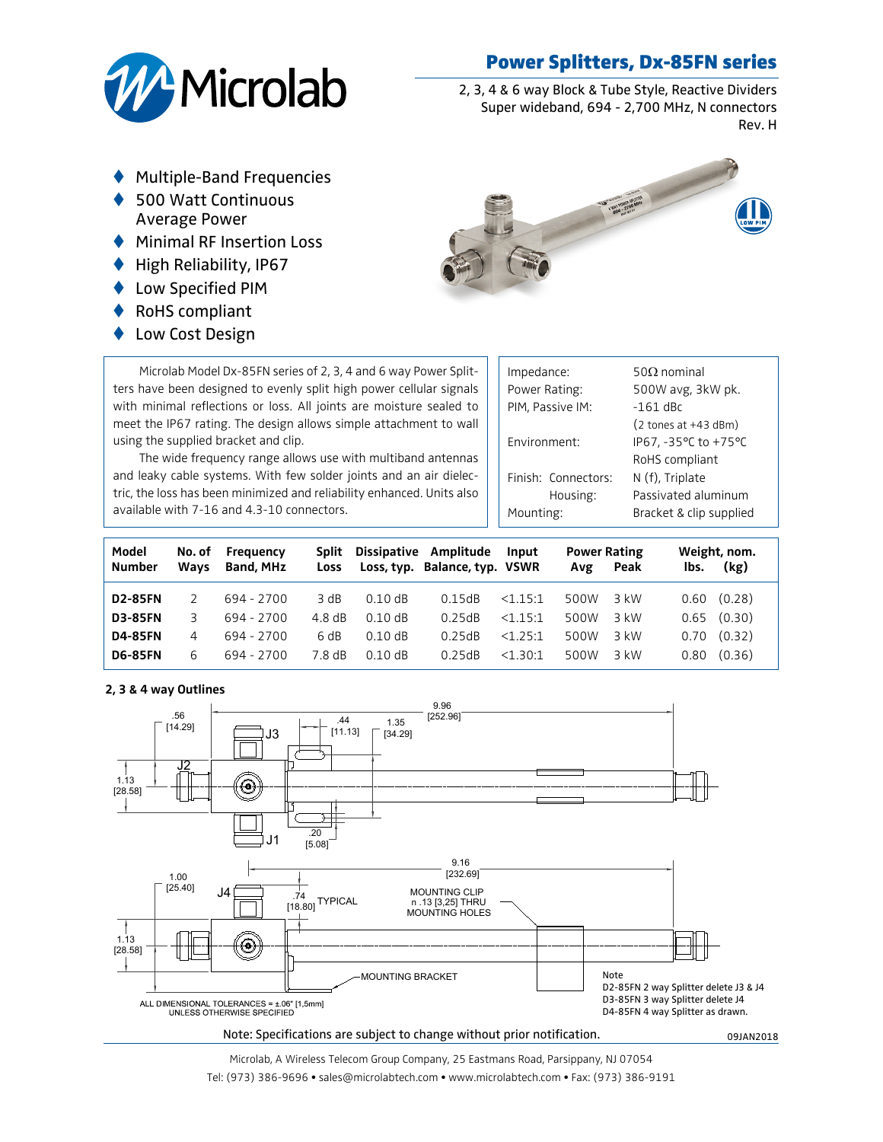## Power Splitters, Dx-85FN series



2, 3, 4 & 6 way Block & Tube Style, Reactive Dividers Super wideband, 694 - 2,700 MHz, N connectors Rev. H

- Multiple-Band Frequencies
- t 500 Watt Continuous Average Power
- $\blacklozenge$  Minimal RF Insertion Loss
- $\blacklozenge$  High Reliability, IP67
- ♦ Low Specified PIM
- RoHS compliant
- ◆ Low Cost Design



Microlab Model Dx-85FN series of 2, 3, 4 and 6 way Power Splitters have been designed to evenly split high power cellular signals with minimal reflections or loss. All joints are moisture sealed to meet the IP67 rating. The design allows simple attachment to wall using the supplied bracket and clip.

The wide frequency range allows use with multiband antennas and leaky cable systems. With few solder joints and an air dielectric, the loss has been minimized and reliability enhanced. Units also available with 7-16 and 4.3-10 connectors.

| Impedance:<br>Power Rating: | $50Q$ nominal<br>500W avg, 3kW pk.      |  |  |  |  |
|-----------------------------|-----------------------------------------|--|--|--|--|
| PIM, Passive IM:            | $-161$ dBc                              |  |  |  |  |
|                             | $(2 \text{ tones at } +43 \text{ dBm})$ |  |  |  |  |
| Fnvironment:                | IP67, -35°C to +75°C                    |  |  |  |  |
|                             | RoHS compliant                          |  |  |  |  |
| Finish: Connectors:         | N (f), Triplate                         |  |  |  |  |
| Housing:                    | Passivated aluminum                     |  |  |  |  |
| Mounting:                   | Bracket & clip supplied                 |  |  |  |  |
|                             |                                         |  |  |  |  |

| Model<br><b>Number</b> | No. of<br>Ways | Frequency<br><b>Band, MHz</b> | <b>Split</b><br>Loss |           | Dissipative Amplitude<br>Loss, typ. Balance, typ. VSWR | Input   | <b>Power Rating</b><br>Avg | Peak | Weight, nom.<br>(kg)<br>lbs. |
|------------------------|----------------|-------------------------------|----------------------|-----------|--------------------------------------------------------|---------|----------------------------|------|------------------------------|
| <b>D2-85FN</b>         |                | 694 - 2700                    | 3 dB                 | $0.10$ dB | 0.15dB                                                 | <1.15:1 | 500W                       | 3 kW | (0.28)<br>0.60               |
| <b>D3-85FN</b>         |                | 694 - 2700                    | $4.8 \text{ dB}$     | $0.10$ dB | 0.25dB                                                 | <115.1  | 500W                       | 3 kW | (0.30)<br>0.65               |
| <b>D4-85FN</b>         | 4              | 694 - 2700                    | 6 dB                 | $0.10$ dB | 0.25dB                                                 | <1.25:1 | 500W                       | 3 kW | (0.32)<br>0.70               |
| <b>D6-85FN</b>         | 6              | 694 - 2700                    | 7.8 dB               | $0.10$ dB | 0.25dB                                                 | <1.30:1 | 500W                       | 3 kW | (0.36)<br>0.80               |

## **2, 3 & 4 way Outlines**



## Note: Specifications are subject to change without prior notification. **1998** 09JAN2018

Microlab, A Wireless Telecom Group Company, 25 Eastmans Road, Parsippany, NJ 07054 Tel: (973) 386-9696 • sales@microlabtech.com • www.microlabtech.com • Fax: (973) 386-9191